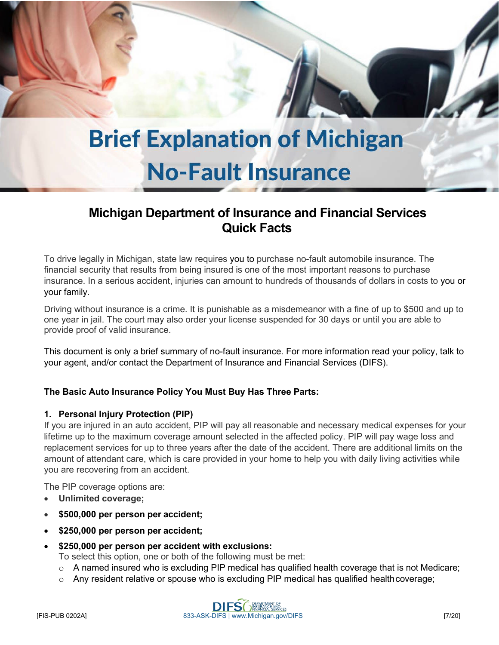# **Brief Explanation of Michigan No-Fault Insurance**

# **Michigan Department of Insurance and Financial Services Quick Facts**

To drive legally in Michigan, state law requires you to purchase no-fault automobile insurance. The financial security that results from being insured is one of the most important reasons to purchase insurance. In a serious accident, injuries can amount to hundreds of thousands of dollars in costs to you or your family.

Driving without insurance is a crime. It is punishable as a misdemeanor with a fine of up to \$500 and up to one year in jail. The court may also order your license suspended for 30 days or until you are able to provide proof of valid insurance.

This document is only a brief summary of no-fault insurance. For more information read your policy, talk to your agent, and/or contact the Department of Insurance and Financial Services (DIFS).

# **The Basic Auto Insurance Policy You Must Buy Has Three Parts:**

## **1. Personal Injury Protection (PIP)**

If you are injured in an auto accident, PIP will pay all reasonable and necessary medical expenses for your lifetime up to the maximum coverage amount selected in the affected policy. PIP will pay wage loss and replacement services for up to three years after the date of the accident. There are additional limits on the amount of attendant care, which is care provided in your home to help you with daily living activities while you are recovering from an accident.

The PIP coverage options are:

- **Unlimited coverage;**
- **\$500,000 per person per accident;**
- **\$250,000 per person per accident;**
- **\$250,000 per person per accident with exclusions:**

To select this option, one or both of the following must be met:

- $\circ$  A named insured who is excluding PIP medical has qualified health coverage that is not Medicare;
- $\circ$  Any resident relative or spouse who is excluding PIP medical has qualified health coverage;

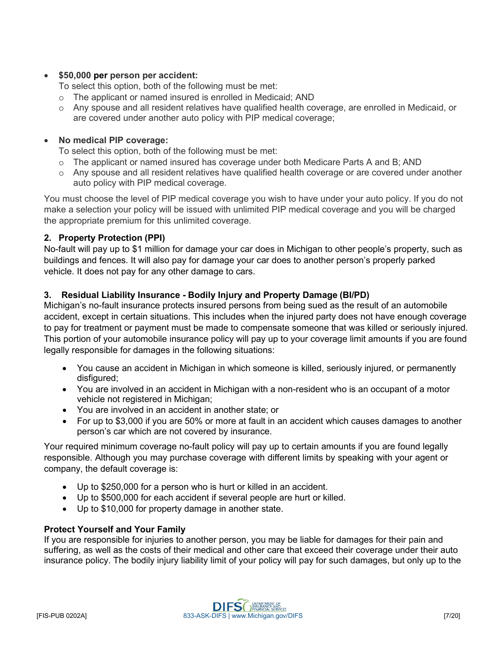#### • **\$50,000 per person per accident:**

To select this option, both of the following must be met:

- o The applicant or named insured is enrolled in Medicaid; AND
- o Any spouse and all resident relatives have qualified health coverage, are enrolled in Medicaid, or are covered under another auto policy with PIP medical coverage;

#### • **No medical PIP coverage:**

To select this option, both of the following must be met:

- o The applicant or named insured has coverage under both Medicare Parts A and B; AND
- o Any spouse and all resident relatives have qualified health coverage or are covered under another auto policy with PIP medical coverage.

You must choose the level of PIP medical coverage you wish to have under your auto policy. If you do not make a selection your policy will be issued with unlimited PIP medical coverage and you will be charged the appropriate premium for this unlimited coverage.

#### **2. Property Protection (PPI)**

No-fault will pay up to \$1 million for damage your car does in Michigan to other people's property, such as buildings and fences. It will also pay for damage your car does to another person's properly parked vehicle. It does not pay for any other damage to cars.

#### **3. Residual Liability Insurance - Bodily Injury and Property Damage (BI/PD)**

Michigan's no-fault insurance protects insured persons from being sued as the result of an automobile accident, except in certain situations. This includes when the injured party does not have enough coverage to pay for treatment or payment must be made to compensate someone that was killed or seriously injured. This portion of your automobile insurance policy will pay up to your coverage limit amounts if you are found legally responsible for damages in the following situations:

- You cause an accident in Michigan in which someone is killed, seriously injured, or permanently disfigured;
- You are involved in an accident in Michigan with a non-resident who is an occupant of a motor vehicle not registered in Michigan;
- You are involved in an accident in another state; or
- For up to \$3,000 if you are 50% or more at fault in an accident which causes damages to another person's car which are not covered by insurance.

Your required minimum coverage no-fault policy will pay up to certain amounts if you are found legally responsible. Although you may purchase coverage with different limits by speaking with your agent or company, the default coverage is:

- Up to \$250,000 for a person who is hurt or killed in an accident.
- Up to \$500,000 for each accident if several people are hurt or killed.
- Up to \$10,000 for property damage in another state.

#### **Protect Yourself and Your Family**

If you are responsible for injuries to another person, you may be liable for damages for their pain and suffering, as well as the costs of their medical and other care that exceed their coverage under their auto insurance policy. The bodily injury liability limit of your policy will pay for such damages, but only up to the

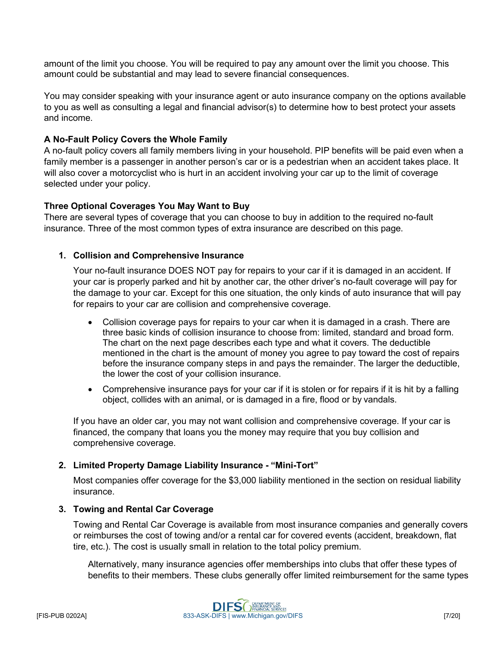amount of the limit you choose. You will be required to pay any amount over the limit you choose. This amount could be substantial and may lead to severe financial consequences.

You may consider speaking with your insurance agent or auto insurance company on the options available to you as well as consulting a legal and financial advisor(s) to determine how to best protect your assets and income.

### **A No-Fault Policy Covers the Whole Family**

A no-fault policy covers all family members living in your household. PIP benefits will be paid even when a family member is a passenger in another person's car or is a pedestrian when an accident takes place. It will also cover a motorcyclist who is hurt in an accident involving your car up to the limit of coverage selected under your policy.

#### **Three Optional Coverages You May Want to Buy**

There are several types of coverage that you can choose to buy in addition to the required no-fault insurance. Three of the most common types of extra insurance are described on this page.

#### **1. Collision and Comprehensive Insurance**

Your no-fault insurance DOES NOT pay for repairs to your car if it is damaged in an accident. If your car is properly parked and hit by another car, the other driver's no-fault coverage will pay for the damage to your car. Except for this one situation, the only kinds of auto insurance that will pay for repairs to your car are collision and comprehensive coverage.

- Collision coverage pays for repairs to your car when it is damaged in a crash. There are three basic kinds of collision insurance to choose from: limited, standard and broad form. The chart on the next page describes each type and what it covers. The deductible mentioned in the chart is the amount of money you agree to pay toward the cost of repairs before the insurance company steps in and pays the remainder. The larger the deductible, the lower the cost of your collision insurance.
- Comprehensive insurance pays for your car if it is stolen or for repairs if it is hit by a falling object, collides with an animal, or is damaged in a fire, flood or by vandals.

If you have an older car, you may not want collision and comprehensive coverage. If your car is financed, the company that loans you the money may require that you buy collision and comprehensive coverage.

#### **2. Limited Property Damage Liability Insurance - "Mini-Tort"**

Most companies offer coverage for the \$3,000 liability mentioned in the section on residual liability insurance.

#### **3. Towing and Rental Car Coverage**

Towing and Rental Car Coverage is available from most insurance companies and generally covers or reimburses the cost of towing and/or a rental car for covered events (accident, breakdown, flat tire, etc.). The cost is usually small in relation to the total policy premium.

Alternatively, many insurance agencies offer memberships into clubs that offer these types of benefits to their members. These clubs generally offer limited reimbursement for the same types